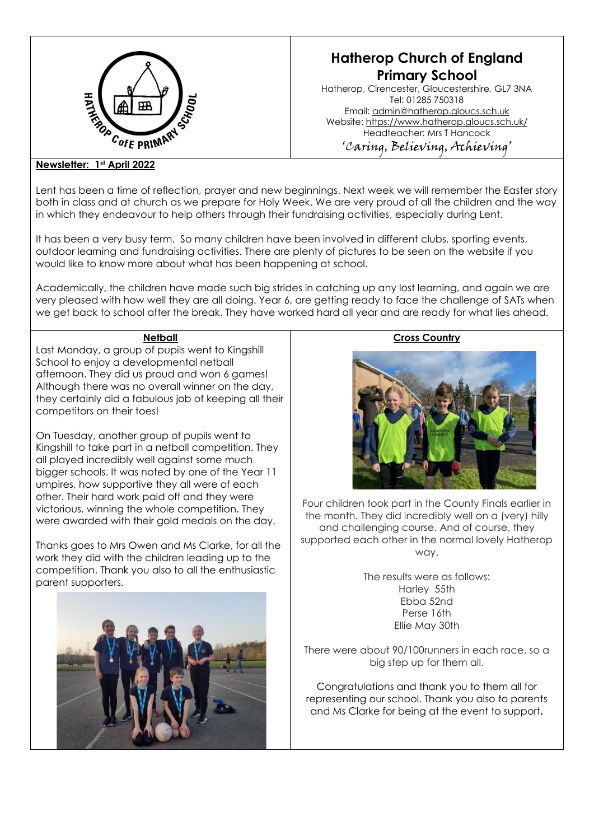

# **Hatherop Church of England Primary School**

Hatherop, Cirencester, Gloucestershire, GL7 3NA Tel: 01285 750318 Email: [admin@hatherop.gloucs.sch.uk](mailto:admin@hatherop.gloucs.sch.uk) Website:<https://www.hatherop.gloucs.sch.uk/> Headteacher: Mrs T Hancock 'Caring, Believing, Achieving'

# **Newsletter: 1st April 2022**

Lent has been a time of reflection, prayer and new beginnings. Next week we will remember the Easter story both in class and at church as we prepare for Holy Week. We are very proud of all the children and the way in which they endeavour to help others through their fundraising activities, especially during Lent.

It has been a very busy term. So many children have been involved in different clubs, sporting events, outdoor learning and fundraising activities. There are plenty of pictures to be seen on the website if you would like to know more about what has been happening at school.

Academically, the children have made such big strides in catching up any lost learning, and again we are very pleased with how well they are all doing. Year 6, are getting ready to face the challenge of SATs when we get back to school after the break. They have worked hard all year and are ready for what lies ahead.

# **Netball**

Last Monday, a group of pupils went to Kingshill School to enjoy a developmental netball afternoon. They did us proud and won 6 games! Although there was no overall winner on the day, they certainly did a fabulous job of keeping all their competitors on their toes!

On Tuesday, another group of pupils went to Kingshill to take part in a netball competition. They all played incredibly well against some much bigger schools. It was noted by one of the Year 11 umpires, how supportive they all were of each other. Their hard work paid off and they were victorious, winning the whole competition. They were awarded with their gold medals on the day.

Thanks goes to Mrs Owen and Ms Clarke, for all the work they did with the children leading up to the competition. Thank you also to all the enthusiastic parent supporters.



# **Cross Country**



Four children took part in the County Finals earlier in the month. They did incredibly well on a (very) hilly and challenging course. And of course, they supported each other in the normal lovely Hatherop way.

> The results were as follows: Harley 55th Ebba 52nd Perse 16th Ellie May 30th

There were about 90/100runners in each race, so a big step up for them all.

Congratulations and thank you to them all for representing our school. Thank you also to parents and Ms Clarke for being at the event to support**.**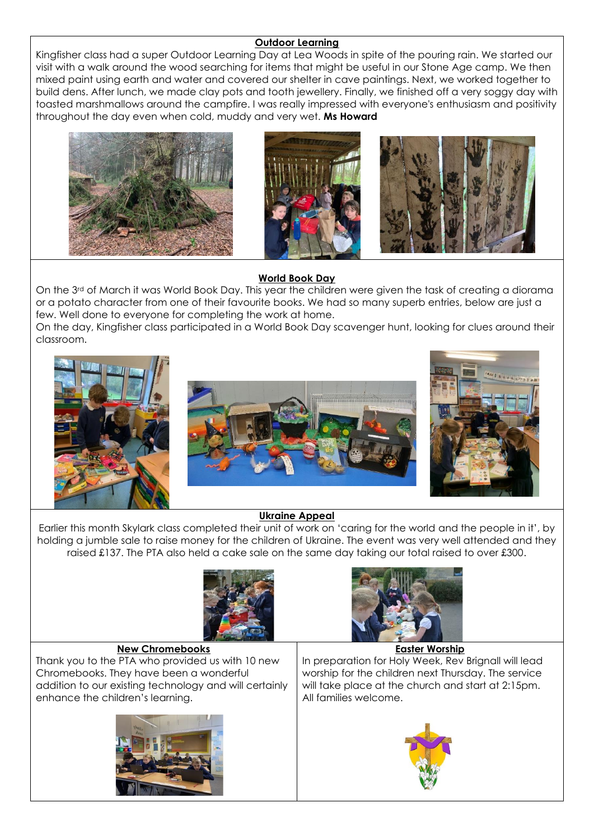# **Outdoor Learning**

Kingfisher class had a super Outdoor Learning Day at Lea Woods in spite of the pouring rain. We started our visit with a walk around the wood searching for items that might be useful in our Stone Age camp. We then mixed paint using earth and water and covered our shelter in cave paintings. Next, we worked together to build dens. After lunch, we made clay pots and tooth jewellery. Finally, we finished off a very soggy day with toasted marshmallows around the campfire. I was really impressed with everyone's enthusiasm and positivity throughout the day even when cold, muddy and very wet. **Ms Howard**







# **World Book Day**

On the 3<sup>rd</sup> of March it was World Book Day. This year the children were given the task of creating a diorama or a potato character from one of their favourite books. We had so many superb entries, below are just a few. Well done to everyone for completing the work at home.

On the day, Kingfisher class participated in a World Book Day scavenger hunt, looking for clues around their classroom.



# **Ukraine Appeal**

Earlier this month Skylark class completed their unit of work on 'caring for the world and the people in it', by holding a jumble sale to raise money for the children of Ukraine. The event was very well attended and they raised £137. The PTA also held a cake sale on the same day taking our total raised to over £300.





Thank you to the PTA who provided us with 10 new Chromebooks. They have been a wonderful addition to our existing technology and will certainly enhance the children's learning.





## **Easter Worship**

In preparation for Holy Week, Rev Brignall will lead worship for the children next Thursday. The service will take place at the church and start at 2:15pm. All families welcome.



[This](http://thegoodheart.blogspot.com/2011/04/reflecting-on-holy-week.html)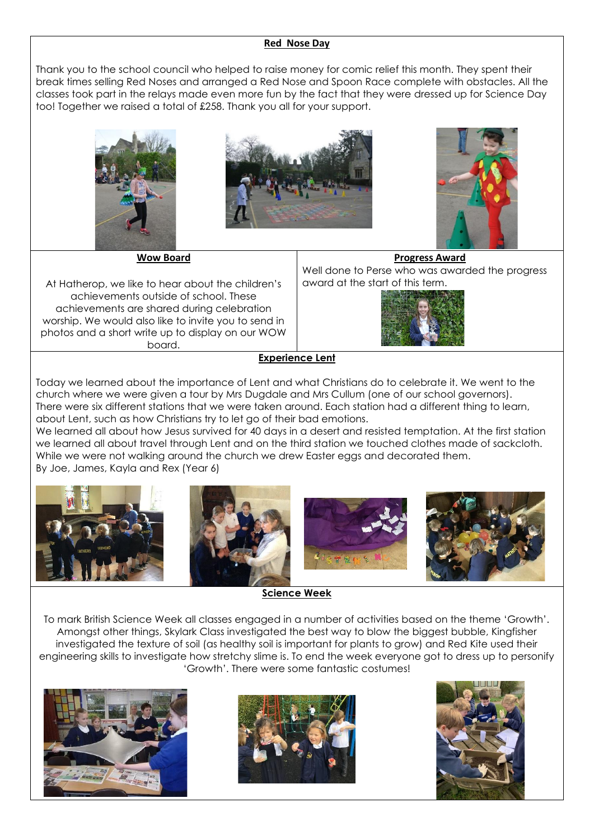#### **Red Nose Day**

Thank you to the school council who helped to raise money for comic relief this month. They spent their break times selling Red Noses and arranged a Red Nose and Spoon Race complete with obstacles. All the classes took part in the relays made even more fun by the fact that they were dressed up for Science Day too! Together we raised a total of £258. Thank you all for your support.







**Wow Board**

At Hatherop, we like to hear about the children's achievements outside of school. These achievements are shared during celebration worship. We would also like to invite you to send in photos and a short write up to display on our WOW board.

#### **Progress Award**

Well done to Perse who was awarded the progress award at the start of this term.



#### **Experience Lent**

Today we learned about the importance of Lent and what Christians do to celebrate it. We went to the church where we were given a tour by Mrs Dugdale and Mrs Cullum (one of our school governors). There were six different stations that we were taken around. Each station had a different thing to learn, about Lent, such as how Christians try to let go of their bad emotions.

We learned all about how Jesus survived for 40 days in a desert and resisted temptation. At the first station we learned all about travel through Lent and on the third station we touched clothes made of sackcloth. While we were not walking around the church we drew Easter eggs and decorated them. By Joe, James, Kayla and Rex (Year 6)



**Science Week**

To mark British Science Week all classes engaged in a number of activities based on the theme 'Growth'. Amongst other things, Skylark Class investigated the best way to blow the biggest bubble, Kingfisher investigated the texture of soil (as healthy soil is important for plants to grow) and Red Kite used their engineering skills to investigate how stretchy slime is. To end the week everyone got to dress up to personify 'Growth'. There were some fantastic costumes!